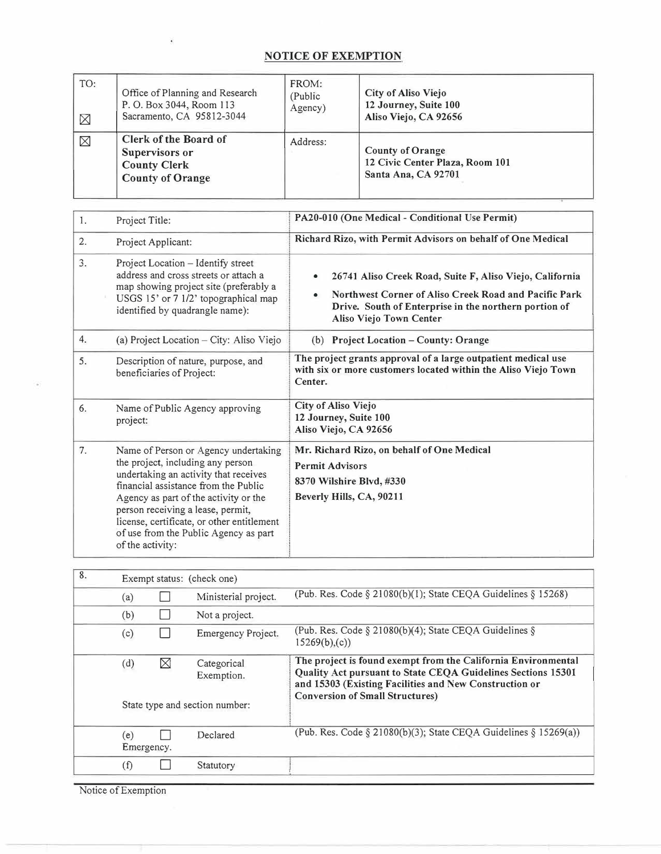## **NOTICE OF EXEMPTION**

 $\tilde{\bullet}$ 

| TO:<br>$\boxtimes$ | Office of Planning and Research<br>P. O. Box 3044, Room 113<br>Sacramento, CA 95812-3044  | FROM:<br>(Public)<br>Agency) | City of Aliso Viejo<br>12 Journey, Suite 100<br>Aliso Viejo, CA 92656             |
|--------------------|-------------------------------------------------------------------------------------------|------------------------------|-----------------------------------------------------------------------------------|
| $\boxtimes$        | Clerk of the Board of<br>Supervisors or<br><b>County Clerk</b><br><b>County of Orange</b> | Address:                     | <b>County of Orange</b><br>12 Civic Center Plaza, Room 101<br>Santa Ana, CA 92701 |

| 1. | Project Title:                                                                                                                                                                                                                                                                                                                                      | PA20-010 (One Medical - Conditional Use Permit)                                                                                                                                                                           |  |
|----|-----------------------------------------------------------------------------------------------------------------------------------------------------------------------------------------------------------------------------------------------------------------------------------------------------------------------------------------------------|---------------------------------------------------------------------------------------------------------------------------------------------------------------------------------------------------------------------------|--|
| 2. | Project Applicant:                                                                                                                                                                                                                                                                                                                                  | Richard Rizo, with Permit Advisors on behalf of One Medical                                                                                                                                                               |  |
| 3. | Project Location - Identify street<br>address and cross streets or attach a<br>map showing project site (preferably a<br>USGS 15' or 7 1/2' topographical map<br>identified by quadrangle name):                                                                                                                                                    | 26741 Aliso Creek Road, Suite F, Aliso Viejo, California<br>$\bullet$<br>Northwest Corner of Aliso Creek Road and Pacific Park<br>Drive. South of Enterprise in the northern portion of<br><b>Aliso Viejo Town Center</b> |  |
| 4. | (a) Project Location – City: Aliso Viejo                                                                                                                                                                                                                                                                                                            | <b>Project Location - County: Orange</b><br>(b)                                                                                                                                                                           |  |
| 5. | Description of nature, purpose, and<br>beneficiaries of Project:                                                                                                                                                                                                                                                                                    | The project grants approval of a large outpatient medical use<br>with six or more customers located within the Aliso Viejo Town<br>Center.                                                                                |  |
| 6. | Name of Public Agency approving<br>project:                                                                                                                                                                                                                                                                                                         | City of Aliso Viejo<br>12 Journey, Suite 100<br>Aliso Viejo, CA 92656                                                                                                                                                     |  |
| 7. | Name of Person or Agency undertaking<br>the project, including any person<br>undertaking an activity that receives<br>financial assistance from the Public<br>Agency as part of the activity or the<br>person receiving a lease, permit,<br>license, certificate, or other entitlement<br>of use from the Public Agency as part<br>of the activity: | Mr. Richard Rizo, on behalf of One Medical<br><b>Permit Advisors</b><br>8370 Wilshire Blvd, #330<br>Beverly Hills, CA, 90211                                                                                              |  |

| 8. |                   | Exempt status: (check one) |                                |                                                                                                                                                                                                                                   |  |  |
|----|-------------------|----------------------------|--------------------------------|-----------------------------------------------------------------------------------------------------------------------------------------------------------------------------------------------------------------------------------|--|--|
|    | (a)               |                            | Ministerial project.           | (Pub. Res. Code § 21080(b)(1); State CEQA Guidelines § 15268)                                                                                                                                                                     |  |  |
|    | (b)               |                            | Not a project.                 |                                                                                                                                                                                                                                   |  |  |
|    | (c)               |                            | Emergency Project.             | (Pub. Res. Code § 21080(b)(4); State CEQA Guidelines §<br>15269(b),(c))                                                                                                                                                           |  |  |
|    | (d)               | X                          | Categorical<br>Exemption.      | The project is found exempt from the California Environmental<br>Quality Act pursuant to State CEQA Guidelines Sections 15301<br>and 15303 (Existing Facilities and New Construction or<br><b>Conversion of Small Structures)</b> |  |  |
|    |                   |                            | State type and section number: |                                                                                                                                                                                                                                   |  |  |
|    | (e)<br>Emergency. |                            | Declared                       | (Pub. Res. Code $\S 21080(b)(3)$ ; State CEQA Guidelines $\S 15269(a)$ )                                                                                                                                                          |  |  |
|    | (f)               |                            | Statutory                      |                                                                                                                                                                                                                                   |  |  |

Notice of Exemption